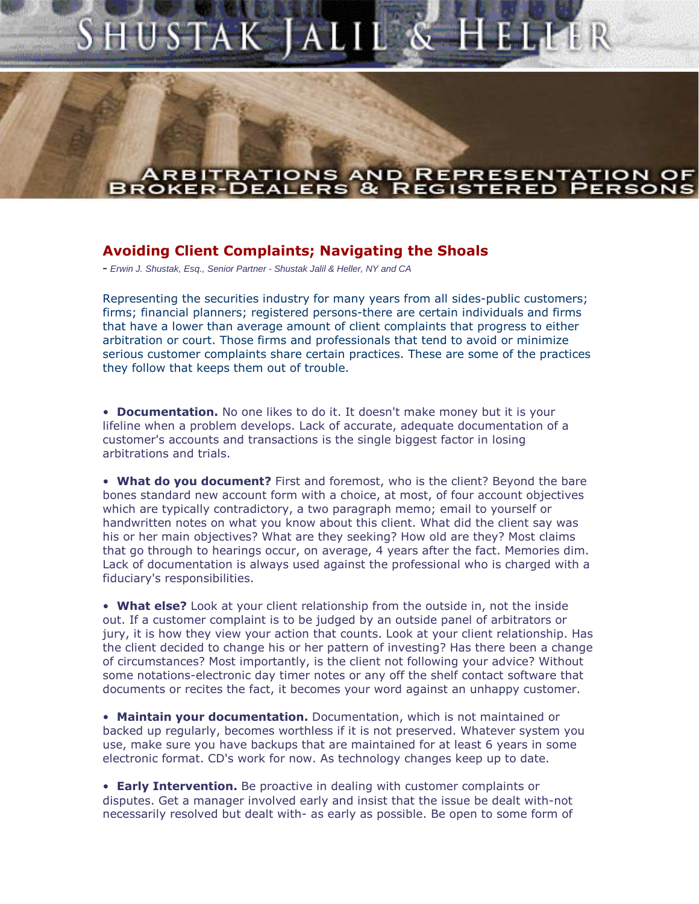## SHUSTAK JALIL & HELLER

## **ARBITRATIONS AND REPRESENTATION BROKER-DEALERS** REGIST

## **Avoiding Client Complaints; Navigating the Shoals**

- Erwin J. Shustak, Esg., Senior Partner - Shustak Jalil & Heller, NY and CA

Representing the securities industry for many years from all sides-public customers; firms; financial planners; registered persons-there are certain individuals and firms that have a lower than average amount of client complaints that progress to either arbitration or court. Those firms and professionals that tend to avoid or minimize serious customer complaints share certain practices. These are some of the practices they follow that keeps them out of trouble.

**• Documentation.** No one likes to do it. It doesn't make money but it is your lifeline when a problem develops. Lack of accurate, adequate documentation of a customer's accounts and transactions is the single biggest factor in losing arbitrations and trials.

ï **What do you document?** First and foremost, who is the client? Beyond the bare bones standard new account form with a choice, at most, of four account objectives which are typically contradictory, a two paragraph memo; email to yourself or handwritten notes on what you know about this client. What did the client say was his or her main objectives? What are they seeking? How old are they? Most claims that go through to hearings occur, on average, 4 years after the fact. Memories dim. Lack of documentation is always used against the professional who is charged with a fiduciary's responsibilities.

**• What else?** Look at your client relationship from the outside in, not the inside out. If a customer complaint is to be judged by an outside panel of arbitrators or jury, it is how they view your action that counts. Look at your client relationship. Has the client decided to change his or her pattern of investing? Has there been a change of circumstances? Most importantly, is the client not following your advice? Without some notations-electronic day timer notes or any off the shelf contact software that documents or recites the fact, it becomes your word against an unhappy customer.

**• Maintain your documentation.** Documentation, which is not maintained or backed up regularly, becomes worthless if it is not preserved. Whatever system you use, make sure you have backups that are maintained for at least 6 years in some electronic format. CD's work for now. As technology changes keep up to date.

**Early Intervention.** Be proactive in dealing with customer complaints or disputes. Get a manager involved early and insist that the issue be dealt with-not necessarily resolved but dealt with- as early as possible. Be open to some form of